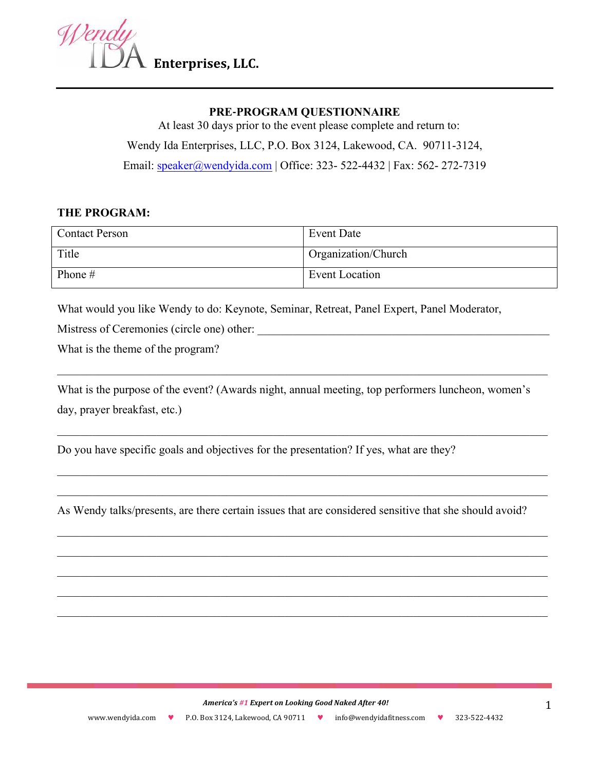

### **PRE-‐PROGRAM QUESTIONNAIRE**

At least 30 days prior to the event please complete and return to: Wendy Ida Enterprises, LLC, P.O. Box 3124, Lakewood, CA. 90711-3124, Email: speaker@wendyida.com | Office: 323- 522-4432 | Fax: 562- 272-7319

#### **THE PROGRAM:**

| Contact Person | Event Date          |
|----------------|---------------------|
| Title          | Organization/Church |
| Phone $#$      | Event Location      |

What would you like Wendy to do: Keynote, Seminar, Retreat, Panel Expert, Panel Moderator,

Mistress of Ceremonies (circle one) other: \_\_\_\_\_\_\_\_\_\_\_\_\_\_\_\_\_\_\_\_\_\_\_\_\_\_\_\_\_\_\_\_\_\_\_\_\_\_\_\_\_\_\_\_\_\_\_\_\_\_

What is the theme of the program?

What is the purpose of the event? (Awards night, annual meeting, top performers luncheon, women's day, prayer breakfast, etc.)

 $\_$  , and the set of the set of the set of the set of the set of the set of the set of the set of the set of the set of the set of the set of the set of the set of the set of the set of the set of the set of the set of th

 $\_$  , and the set of the set of the set of the set of the set of the set of the set of the set of the set of the set of the set of the set of the set of the set of the set of the set of the set of the set of the set of th

 $\_$  , and the set of the set of the set of the set of the set of the set of the set of the set of the set of the set of the set of the set of the set of the set of the set of the set of the set of the set of the set of th

 $\_$  , and the set of the set of the set of the set of the set of the set of the set of the set of the set of the set of the set of the set of the set of the set of the set of the set of the set of the set of the set of th

 $\_$  , and the set of the set of the set of the set of the set of the set of the set of the set of the set of the set of the set of the set of the set of the set of the set of the set of the set of the set of the set of th

 $\_$  , and the set of the set of the set of the set of the set of the set of the set of the set of the set of the set of the set of the set of the set of the set of the set of the set of the set of the set of the set of th

 $\_$  , and the set of the set of the set of the set of the set of the set of the set of the set of the set of the set of the set of the set of the set of the set of the set of the set of the set of the set of the set of th

 $\_$  , and the set of the set of the set of the set of the set of the set of the set of the set of the set of the set of the set of the set of the set of the set of the set of the set of the set of the set of the set of th

 $\_$  , and the set of the set of the set of the set of the set of the set of the set of the set of the set of the set of the set of the set of the set of the set of the set of the set of the set of the set of the set of th

Do you have specific goals and objectives for the presentation? If yes, what are they?

As Wendy talks/presents, are there certain issues that are considered sensitive that she should avoid?

America's #1 Expert on Looking Good Naked After 40!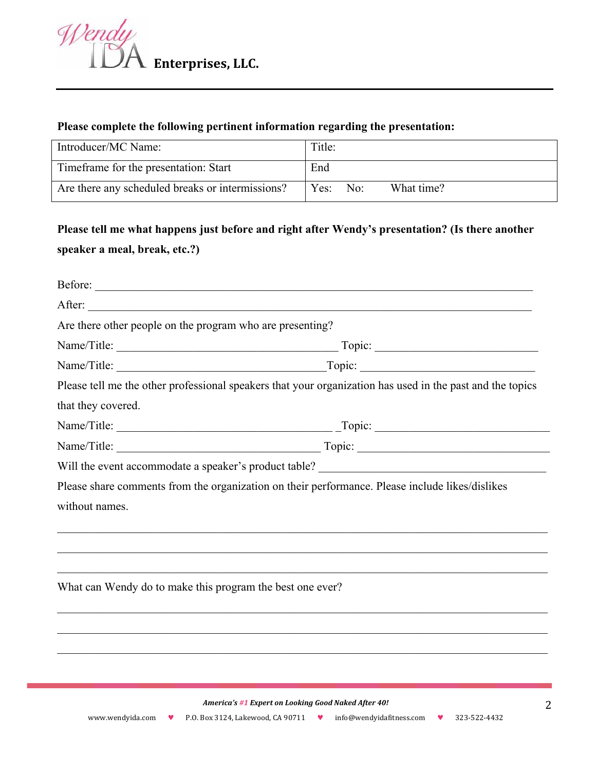

## **Please complete the following pertinent information regarding the presentation:**

| Introducer/MC Name:                              | Title:                   |
|--------------------------------------------------|--------------------------|
| Time frame for the presentation: Start           | End                      |
| Are there any scheduled breaks or intermissions? | What time?<br>Yes: $No:$ |

# **Please tell me what happens just before and right after Wendy's presentation? (Is there another speaker a meal, break, etc.?)**

| Are there other people on the program who are presenting? |                                                                                                           |
|-----------------------------------------------------------|-----------------------------------------------------------------------------------------------------------|
|                                                           |                                                                                                           |
|                                                           |                                                                                                           |
|                                                           | Please tell me the other professional speakers that your organization has used in the past and the topics |
| that they covered.                                        |                                                                                                           |
|                                                           |                                                                                                           |
|                                                           |                                                                                                           |
|                                                           | Will the event accommodate a speaker's product table? ___________________________                         |
|                                                           | Please share comments from the organization on their performance. Please include likes/dislikes           |
| without names.                                            |                                                                                                           |
|                                                           |                                                                                                           |
|                                                           |                                                                                                           |
|                                                           |                                                                                                           |
| What can Wendy do to make this program the best one ever? |                                                                                                           |
|                                                           |                                                                                                           |
|                                                           |                                                                                                           |
|                                                           |                                                                                                           |
|                                                           |                                                                                                           |
|                                                           |                                                                                                           |

America's #1 Expert on Looking Good Naked After 40!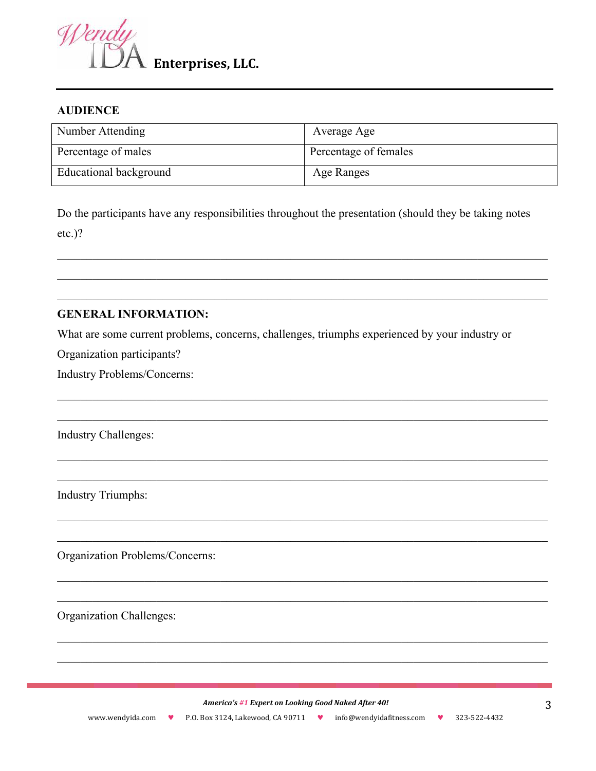

### **AUDIENCE**

| Number Attending       | Average Age           |
|------------------------|-----------------------|
| Percentage of males    | Percentage of females |
| Educational background | Age Ranges            |

Do the participants have any responsibilities throughout the presentation (should they be taking notes etc.)?

 $\_$  , and the set of the set of the set of the set of the set of the set of the set of the set of the set of the set of the set of the set of the set of the set of the set of the set of the set of the set of the set of th

 $\_$  , and the set of the set of the set of the set of the set of the set of the set of the set of the set of the set of the set of the set of the set of the set of the set of the set of the set of the set of the set of th

 $\_$  , and the set of the set of the set of the set of the set of the set of the set of the set of the set of the set of the set of the set of the set of the set of the set of the set of the set of the set of the set of th

 $\_$  , and the set of the set of the set of the set of the set of the set of the set of the set of the set of the set of the set of the set of the set of the set of the set of the set of the set of the set of the set of th

 $\_$  , and the set of the set of the set of the set of the set of the set of the set of the set of the set of the set of the set of the set of the set of the set of the set of the set of the set of the set of the set of th

 $\_$  , and the set of the set of the set of the set of the set of the set of the set of the set of the set of the set of the set of the set of the set of the set of the set of the set of the set of the set of the set of th

 $\_$  , and the set of the set of the set of the set of the set of the set of the set of the set of the set of the set of the set of the set of the set of the set of the set of the set of the set of the set of the set of th

 $\_$  , and the set of the set of the set of the set of the set of the set of the set of the set of the set of the set of the set of the set of the set of the set of the set of the set of the set of the set of the set of th

 $\_$  , and the set of the set of the set of the set of the set of the set of the set of the set of the set of the set of the set of the set of the set of the set of the set of the set of the set of the set of the set of th

 $\_$  , and the set of the set of the set of the set of the set of the set of the set of the set of the set of the set of the set of the set of the set of the set of the set of the set of the set of the set of the set of th

 $\_$  , and the set of the set of the set of the set of the set of the set of the set of the set of the set of the set of the set of the set of the set of the set of the set of the set of the set of the set of the set of th

 $\_$  , and the set of the set of the set of the set of the set of the set of the set of the set of the set of the set of the set of the set of the set of the set of the set of the set of the set of the set of the set of th

## **GENERAL INFORMATION:**

What are some current problems, concerns, challenges, triumphs experienced by your industry or

Organization participants?

Industry Problems/Concerns:

Industry Challenges:

Industry Triumphs:

Organization Problems/Concerns:

Organization Challenges:

America's #1 Expert on Looking Good Naked After 40!

 $\mathcal{L}_\text{max} = \frac{1}{2} \sum_{i=1}^{n} \frac{1}{2} \sum_{i=1}^{n} \frac{1}{2} \sum_{i=1}^{n} \frac{1}{2} \sum_{i=1}^{n} \frac{1}{2} \sum_{i=1}^{n} \frac{1}{2} \sum_{i=1}^{n} \frac{1}{2} \sum_{i=1}^{n} \frac{1}{2} \sum_{i=1}^{n} \frac{1}{2} \sum_{i=1}^{n} \frac{1}{2} \sum_{i=1}^{n} \frac{1}{2} \sum_{i=1}^{n} \frac{1}{2} \sum_{i=1}^{n} \frac{1$